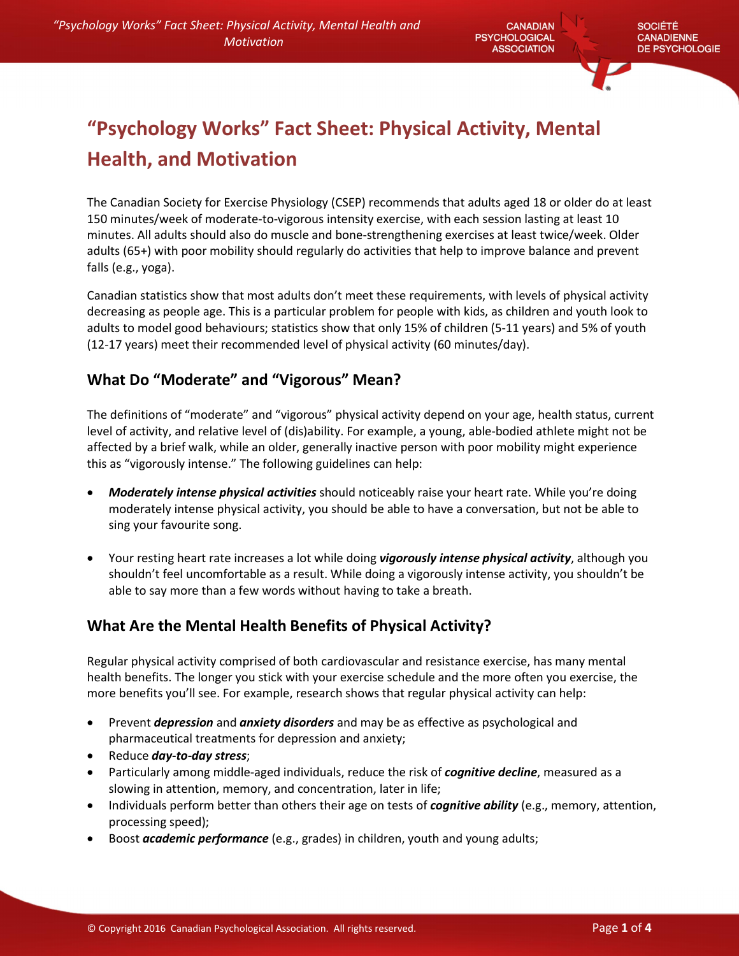**CANADIAN PSYCHOLOGICAL ASSOCIATION** 

# "Psychology Works" Fact Sheet: Physical Activity, Mental Health, and Motivation

The Canadian Society for Exercise Physiology (CSEP) recommends that adults aged 18 or older do at least 150 minutes/week of moderate-to-vigorous intensity exercise, with each session lasting at least 10 minutes. All adults should also do muscle and bone-strengthening exercises at least twice/week. Older adults (65+) with poor mobility should regularly do activities that help to improve balance and prevent falls (e.g., yoga).

Canadian statistics show that most adults don't meet these requirements, with levels of physical activity decreasing as people age. This is a particular problem for people with kids, as children and youth look to adults to model good behaviours; statistics show that only 15% of children (5-11 years) and 5% of youth (12-17 years) meet their recommended level of physical activity (60 minutes/day).

## What Do "Moderate" and "Vigorous" Mean?

The definitions of "moderate" and "vigorous" physical activity depend on your age, health status, current level of activity, and relative level of (dis)ability. For example, a young, able-bodied athlete might not be affected by a brief walk, while an older, generally inactive person with poor mobility might experience this as "vigorously intense." The following guidelines can help:

- *Moderately intense physical activities* should noticeably raise your heart rate. While you're doing moderately intense physical activity, you should be able to have a conversation, but not be able to sing your favourite song.
- Your resting heart rate increases a lot while doing *vigorously intense physical activity*, although you shouldn't feel uncomfortable as a result. While doing a vigorously intense activity, you shouldn't be able to say more than a few words without having to take a breath.

## What Are the Mental Health Benefits of Physical Activity?

Regular physical activity comprised of both cardiovascular and resistance exercise, has many mental health benefits. The longer you stick with your exercise schedule and the more often you exercise, the more benefits you'll see. For example, research shows that regular physical activity can help:

- Prevent *depression* and *anxiety disorders* and may be as effective as psychological and pharmaceutical treatments for depression and anxiety;
- Reduce *day-to-day stress*;
- Particularly among middle-aged individuals, reduce the risk of *cognitive decline*, measured as a slowing in attention, memory, and concentration, later in life;
- Individuals perform better than others their age on tests of *cognitive ability* (e.g., memory, attention, processing speed);
- **Boost** *academic performance* (e.g., grades) in children, youth and young adults;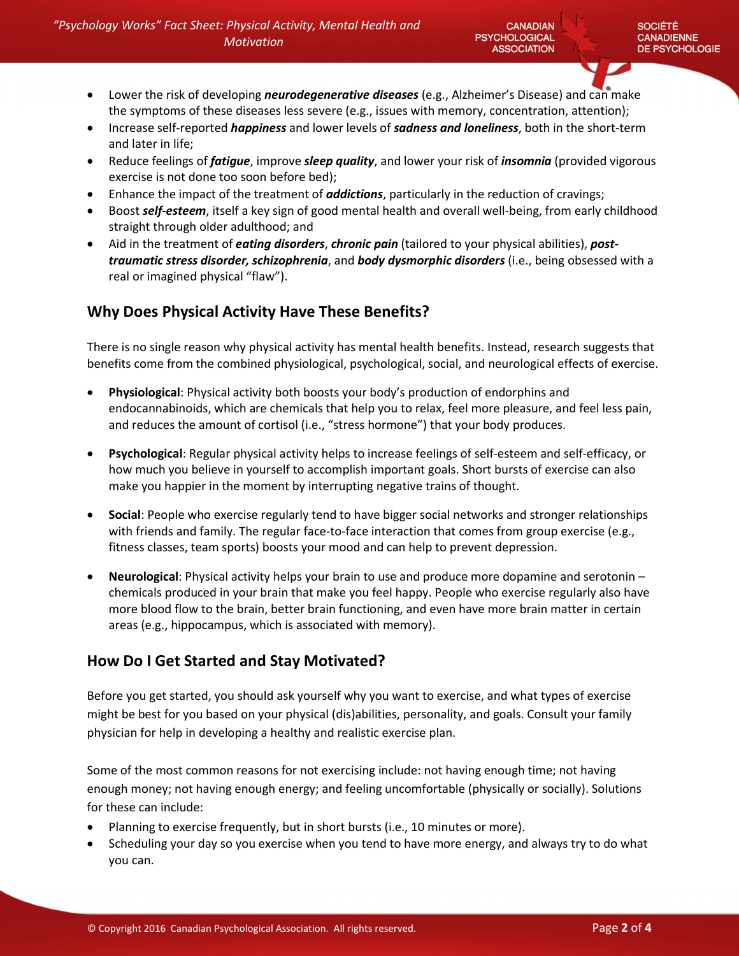- Lower the risk of developing *neurodegenerative diseases* (e.g., Alzheimer's Disease) and can make the symptoms of these diseases less severe (e.g., issues with memory, concentration, attention);
- Increase self-reported *happiness* and lower levels of *sadness and loneliness*, both in the short-term and later in life;
- Reduce feelings of *fatigue*, improve *sleep quality*, and lower your risk of *insomnia* (provided vigorous exercise is not done too soon before bed);
- Enhance the impact of the treatment of *addictions*, particularly in the reduction of cravings;
- Boost *self-esteem*, itself a key sign of good mental health and overall well-being, from early childhood straight through older adulthood; and
- Aid in the treatment of *eating disorders*, *chronic pain* (tailored to your physical abilities), *posttraumatic stress disorder, schizophrenia*, and *body dysmorphic disorders* (i.e., being obsessed with a real or imagined physical "flaw").

### Why Does Physical Activity Have These Benefits?

There is no single reason why physical activity has mental health benefits. Instead, research suggests that benefits come from the combined physiological, psychological, social, and neurological effects of exercise.

- Physiological: Physical activity both boosts your body's production of endorphins and endocannabinoids, which are chemicals that help you to relax, feel more pleasure, and feel less pain, and reduces the amount of cortisol (i.e., "stress hormone") that your body produces.
- Psychological: Regular physical activity helps to increase feelings of self-esteem and self-efficacy, or how much you believe in yourself to accomplish important goals. Short bursts of exercise can also make you happier in the moment by interrupting negative trains of thought.
- Social: People who exercise regularly tend to have bigger social networks and stronger relationships with friends and family. The regular face-to-face interaction that comes from group exercise (e.g., fitness classes, team sports) boosts your mood and can help to prevent depression.
- Neurological: Physical activity helps your brain to use and produce more dopamine and serotonin chemicals produced in your brain that make you feel happy. People who exercise regularly also have more blood flow to the brain, better brain functioning, and even have more brain matter in certain areas (e.g., hippocampus, which is associated with memory).

#### How Do I Get Started and Stay Motivated?

Before you get started, you should ask yourself why you want to exercise, and what types of exercise might be best for you based on your physical (dis)abilities, personality, and goals. Consult your family physician for help in developing a healthy and realistic exercise plan.

Some of the most common reasons for not exercising include: not having enough time; not having enough money; not having enough energy; and feeling uncomfortable (physically or socially). Solutions for these can include:

- Planning to exercise frequently, but in short bursts (i.e., 10 minutes or more).
- Scheduling your day so you exercise when you tend to have more energy, and always try to do what you can.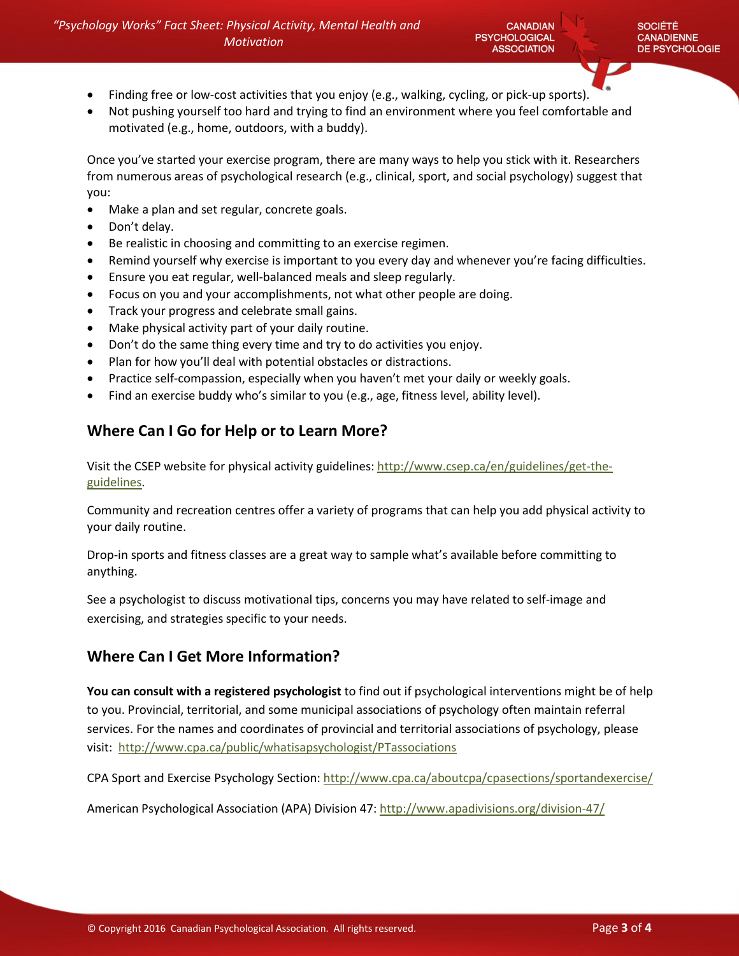- Finding free or low-cost activities that you enjoy (e.g., walking, cycling, or pick-up sports).
- Not pushing yourself too hard and trying to find an environment where you feel comfortable and motivated (e.g., home, outdoors, with a buddy).

Once you've started your exercise program, there are many ways to help you stick with it. Researchers from numerous areas of psychological research (e.g., clinical, sport, and social psychology) suggest that you:

- Make a plan and set regular, concrete goals.
- Don't delay.
- Be realistic in choosing and committing to an exercise regimen.
- Remind yourself why exercise is important to you every day and whenever you're facing difficulties.
- Ensure you eat regular, well-balanced meals and sleep regularly.
- Focus on you and your accomplishments, not what other people are doing.
- Track your progress and celebrate small gains.
- Make physical activity part of your daily routine.
- Don't do the same thing every time and try to do activities you enjoy.
- Plan for how you'll deal with potential obstacles or distractions.
- Practice self-compassion, especially when you haven't met your daily or weekly goals.
- Find an exercise buddy who's similar to you (e.g., age, fitness level, ability level).

## Where Can I Go for Help or to Learn More?

Visit the CSEP website for physical activity guidelines: http://www.csep.ca/en/guidelines/get-theguidelines.

Community and recreation centres offer a variety of programs that can help you add physical activity to your daily routine.

Drop-in sports and fitness classes are a great way to sample what's available before committing to anything.

See a psychologist to discuss motivational tips, concerns you may have related to self-image and exercising, and strategies specific to your needs.

### Where Can I Get More Information?

You can consult with a registered psychologist to find out if psychological interventions might be of help to you. Provincial, territorial, and some municipal associations of psychology often maintain referral services. For the names and coordinates of provincial and territorial associations of psychology, please visit: http://www.cpa.ca/public/whatisapsychologist/PTassociations

CPA Sport and Exercise Psychology Section: http://www.cpa.ca/aboutcpa/cpasections/sportandexercise/

American Psychological Association (APA) Division 47: http://www.apadivisions.org/division-47/